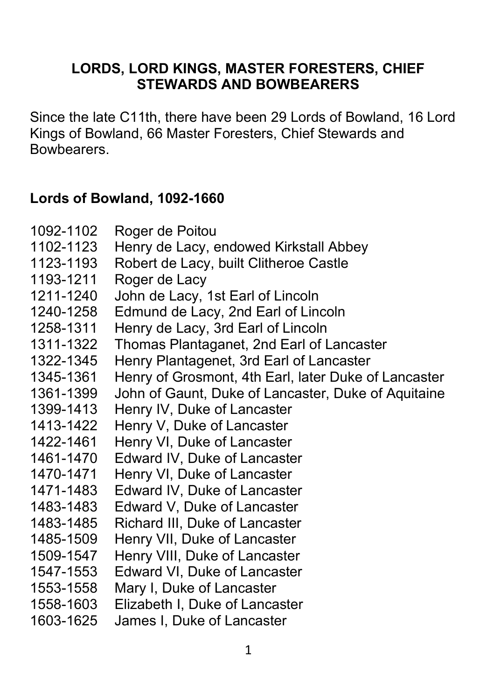### **LORDS, LORD KINGS, MASTER FORESTERS, CHIEF STEWARDS AND BOWBEARERS**

Since the late C11th, there have been 29 Lords of Bowland, 16 Lord Kings of Bowland, 66 Master Foresters, Chief Stewards and Bowbearers.

#### **Lords of Bowland, 1092-1660**

| 1092-1102<br>1102-1123 | Roger de Poitou<br>Henry de Lacy, endowed Kirkstall Abbey |
|------------------------|-----------------------------------------------------------|
| 1123-1193              | Robert de Lacy, built Clitheroe Castle                    |
| 1193-1211              | Roger de Lacy                                             |
| 1211-1240              | John de Lacy, 1st Earl of Lincoln                         |
| 1240-1258              | Edmund de Lacy, 2nd Earl of Lincoln                       |
| 1258-1311              | Henry de Lacy, 3rd Earl of Lincoln                        |
| 1311-1322              | Thomas Plantaganet, 2nd Earl of Lancaster                 |
| 1322-1345              | Henry Plantagenet, 3rd Earl of Lancaster                  |
| 1345-1361              | Henry of Grosmont, 4th Earl, later Duke of Lancaster      |
| 1361-1399              | John of Gaunt, Duke of Lancaster, Duke of Aquitaine       |
| 1399-1413              | Henry IV, Duke of Lancaster                               |
| 1413-1422              | Henry V, Duke of Lancaster                                |
| 1422-1461              | Henry VI, Duke of Lancaster                               |
| 1461-1470              | Edward IV, Duke of Lancaster                              |
| 1470-1471              | Henry VI, Duke of Lancaster                               |
| 1471-1483              | Edward IV, Duke of Lancaster                              |
| 1483-1483              | Edward V, Duke of Lancaster                               |
| 1483-1485              | Richard III, Duke of Lancaster                            |
| 1485-1509              | Henry VII, Duke of Lancaster                              |
| 1509-1547              | Henry VIII, Duke of Lancaster                             |
| 1547-1553              | Edward VI, Duke of Lancaster                              |
| 1553-1558              | Mary I, Duke of Lancaster                                 |
| 1558-1603              | Elizabeth I, Duke of Lancaster                            |
| 1603-1625              | James I, Duke of Lancaster                                |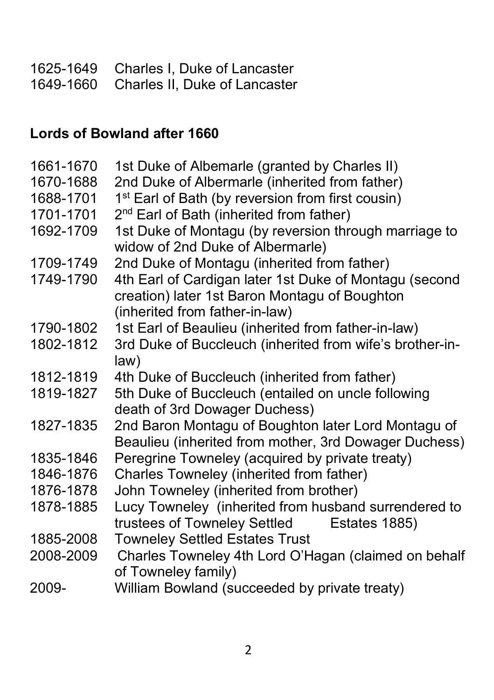| 1625-1649 Charles I, Duke of Lancaster  |
|-----------------------------------------|
| 1649-1660 Charles II, Duke of Lancaster |

# **Lords of Bowland after 1660**

| 1661-1670 | 1st Duke of Albemarle (granted by Charles II)                                                                                             |
|-----------|-------------------------------------------------------------------------------------------------------------------------------------------|
| 1670-1688 | 2nd Duke of Albermarle (inherited from father)                                                                                            |
| 1688-1701 | 1 <sup>st</sup> Earl of Bath (by reversion from first cousin)                                                                             |
| 1701-1701 | 2 <sup>nd</sup> Earl of Bath (inherited from father)                                                                                      |
| 1692-1709 | 1st Duke of Montagu (by reversion through marriage to<br>widow of 2nd Duke of Albermarle)                                                 |
| 1709-1749 | 2nd Duke of Montagu (inherited from father)                                                                                               |
| 1749-1790 | 4th Earl of Cardigan later 1st Duke of Montagu (second<br>creation) later 1st Baron Montagu of Boughton<br>(inherited from father-in-law) |
| 1790-1802 | 1st Earl of Beaulieu (inherited from father-in-law)                                                                                       |
| 1802-1812 | 3rd Duke of Buccleuch (inherited from wife's brother-in-                                                                                  |
|           | law)                                                                                                                                      |
| 1812-1819 | 4th Duke of Buccleuch (inherited from father)                                                                                             |
| 1819-1827 | 5th Duke of Buccleuch (entailed on uncle following<br>death of 3rd Dowager Duchess)                                                       |
| 1827-1835 | 2nd Baron Montagu of Boughton later Lord Montagu of<br>Beaulieu (inherited from mother, 3rd Dowager Duchess)                              |
| 1835-1846 | Peregrine Towneley (acquired by private treaty)                                                                                           |
| 1846-1876 | Charles Towneley (inherited from father)                                                                                                  |
| 1876-1878 | John Towneley (inherited from brother)                                                                                                    |
| 1878-1885 | Lucy Towneley (inherited from husband surrendered to                                                                                      |
|           | trustees of Towneley Settled<br>Estates 1885)                                                                                             |
| 1885-2008 | <b>Towneley Settled Estates Trust</b>                                                                                                     |
| 2008-2009 | Charles Towneley 4th Lord O'Hagan (claimed on behalf<br>of Towneley family)                                                               |
| 2009-     | William Bowland (succeeded by private treaty)                                                                                             |
|           |                                                                                                                                           |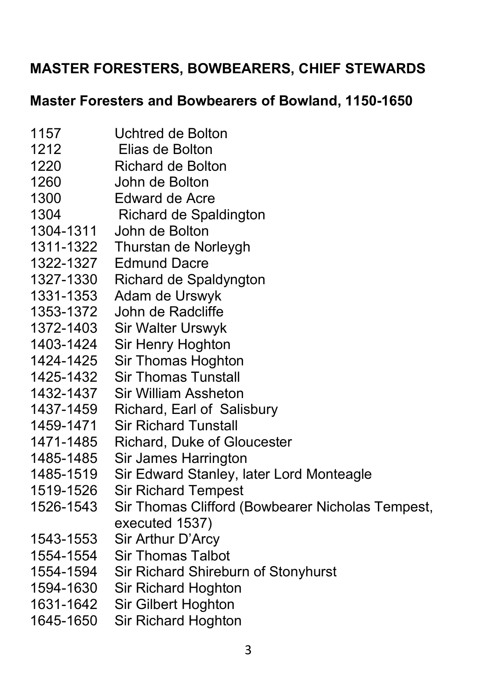# **MASTER FORESTERS, BOWBEARERS, CHIEF STEWARDS**

#### **Master Foresters and Bowbearers of Bowland, 1150-1650**

- 1157 Uchtred de Bolton
- 1212 Elias de Bolton
- 1220 Richard de Bolton
- 1260 John de Bolton
- 1300 Edward de Acre
- 1304 Richard de Spaldington
- 1304-1311 John de Bolton
- 1311-1322 Thurstan de Norleygh
- 1322-1327 Edmund Dacre
- 1327-1330 Richard de Spaldyngton
- 1331-1353 Adam de Urswyk
- 1353-1372 John de Radcliffe
- 1372-1403 Sir Walter Urswyk
- 1403-1424 Sir Henry Hoghton
- 1424-1425 Sir Thomas Hoghton
- 1425-1432 Sir Thomas Tunstall
- 1432-1437 Sir William Assheton
- 1437-1459 Richard, Earl of Salisbury
- 1459-1471 Sir Richard Tunstall
- 1471-1485 Richard, Duke of Gloucester
- 1485-1485 Sir James Harrington
- 1485-1519 Sir Edward Stanley, later Lord Monteagle
- 1519-1526 Sir Richard Tempest
- 1526-1543 Sir Thomas Clifford (Bowbearer Nicholas Tempest, executed 1537)
- 1543-1553 Sir Arthur D'Arcy
- 1554-1554 Sir Thomas Talbot
- 1554-1594 Sir Richard Shireburn of Stonyhurst
- 1594-1630 Sir Richard Hoghton
- 1631-1642 Sir Gilbert Hoghton
- 1645-1650 Sir Richard Hoghton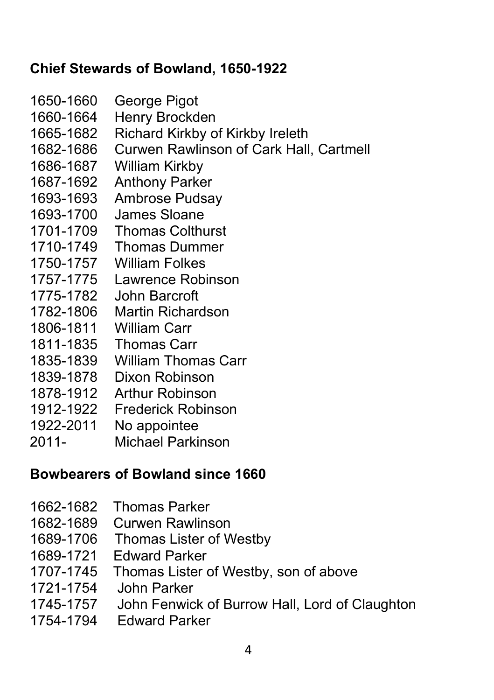## **Chief Stewards of Bowland, 1650-1922**

- 1650-1660 George Pigot
- 1660-1664 Henry Brockden
- 1665-1682 Richard Kirkby of Kirkby Ireleth
- 1682-1686 Curwen Rawlinson of Cark Hall, Cartmell
- 1686-1687 William Kirkby
- 1687-1692 Anthony Parker
- 1693-1693 Ambrose Pudsay
- 1693-1700 James Sloane
- 1701-1709 Thomas Colthurst
- 1710-1749 Thomas Dummer
- 1750-1757 William Folkes
- 1757-1775 Lawrence Robinson
- 1775-1782 John Barcroft
- 1782-1806 Martin Richardson
- 1806-1811 William Carr
- 1811-1835 Thomas Carr
- 1835-1839 William Thomas Carr
- 1839-1878 Dixon Robinson
- 1878-1912 Arthur Robinson
- 1912-1922 Frederick Robinson
- 1922-2011 No appointee
- 2011- Michael Parkinson

## **Bowbearers of Bowland since 1660**

- 1662-1682 Thomas Parker
- 1682-1689 Curwen Rawlinson
- 1689-1706 Thomas Lister of Westby
- 1689-1721 Edward Parker
- 1707-1745 Thomas Lister of Westby, son of above
- 
- 1721-1754 John Parker John Fenwick of Burrow Hall, Lord of Claughton
- 1754-1794 Edward Parker